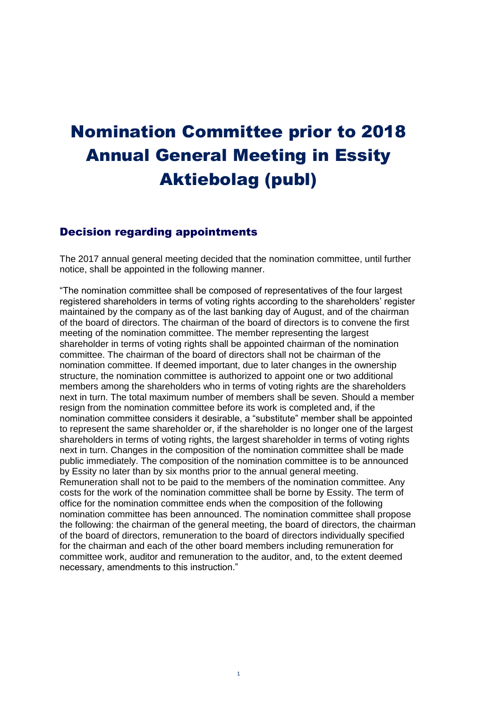# Nomination Committee prior to 2018 Annual General Meeting in Essity Aktiebolag (publ)

# Decision regarding appointments

The 2017 annual general meeting decided that the nomination committee, until further notice, shall be appointed in the following manner.

"The nomination committee shall be composed of representatives of the four largest registered shareholders in terms of voting rights according to the shareholders' register maintained by the company as of the last banking day of August, and of the chairman of the board of directors. The chairman of the board of directors is to convene the first meeting of the nomination committee. The member representing the largest shareholder in terms of voting rights shall be appointed chairman of the nomination committee. The chairman of the board of directors shall not be chairman of the nomination committee. If deemed important, due to later changes in the ownership structure, the nomination committee is authorized to appoint one or two additional members among the shareholders who in terms of voting rights are the shareholders next in turn. The total maximum number of members shall be seven. Should a member resign from the nomination committee before its work is completed and, if the nomination committee considers it desirable, a "substitute" member shall be appointed to represent the same shareholder or, if the shareholder is no longer one of the largest shareholders in terms of voting rights, the largest shareholder in terms of voting rights next in turn. Changes in the composition of the nomination committee shall be made public immediately. The composition of the nomination committee is to be announced by Essity no later than by six months prior to the annual general meeting. Remuneration shall not to be paid to the members of the nomination committee. Any costs for the work of the nomination committee shall be borne by Essity. The term of office for the nomination committee ends when the composition of the following nomination committee has been announced. The nomination committee shall propose the following: the chairman of the general meeting, the board of directors, the chairman of the board of directors, remuneration to the board of directors individually specified for the chairman and each of the other board members including remuneration for committee work, auditor and remuneration to the auditor, and, to the extent deemed necessary, amendments to this instruction."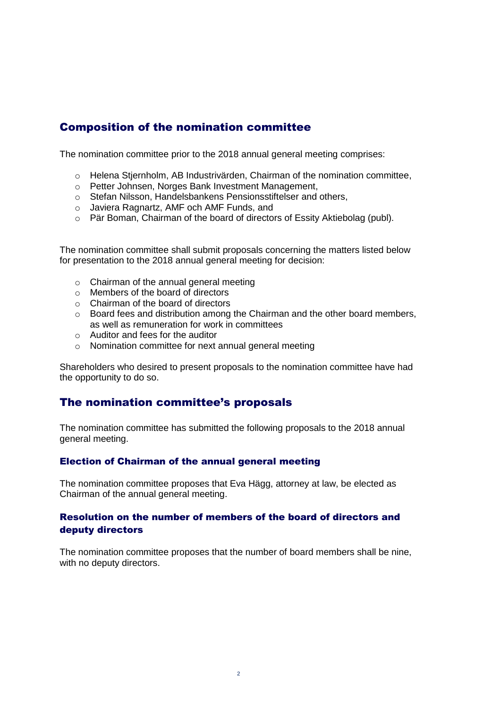# Composition of the nomination committee

The nomination committee prior to the 2018 annual general meeting comprises:

- o Helena Stjernholm, AB Industrivärden, Chairman of the nomination committee,
- o Petter Johnsen, Norges Bank Investment Management,
- o Stefan Nilsson, Handelsbankens Pensionsstiftelser and others,
- o Javiera Ragnartz, AMF och AMF Funds, and
- o Pär Boman, Chairman of the board of directors of Essity Aktiebolag (publ).

The nomination committee shall submit proposals concerning the matters listed below for presentation to the 2018 annual general meeting for decision:

- o Chairman of the annual general meeting
- o Members of the board of directors
- o Chairman of the board of directors
- $\circ$  Board fees and distribution among the Chairman and the other board members, as well as remuneration for work in committees
- o Auditor and fees for the auditor
- o Nomination committee for next annual general meeting

Shareholders who desired to present proposals to the nomination committee have had the opportunity to do so.

# The nomination committee's proposals

The nomination committee has submitted the following proposals to the 2018 annual general meeting.

## Election of Chairman of the annual general meeting

The nomination committee proposes that Eva Hägg, attorney at law, be elected as Chairman of the annual general meeting.

# Resolution on the number of members of the board of directors and deputy directors

The nomination committee proposes that the number of board members shall be nine, with no deputy directors.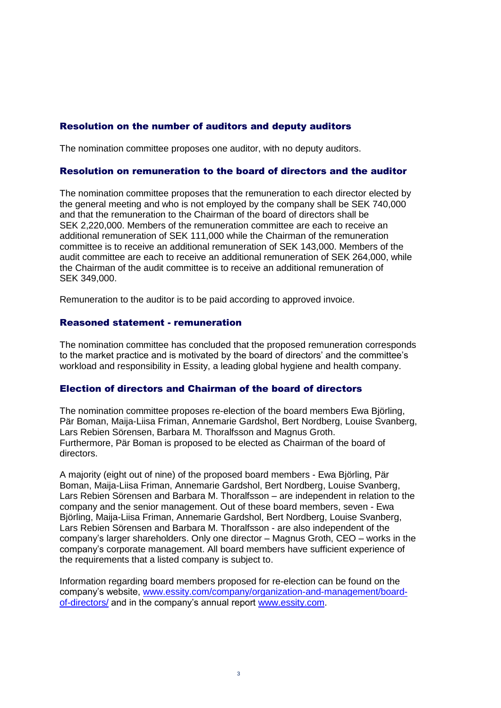# Resolution on the number of auditors and deputy auditors

The nomination committee proposes one auditor, with no deputy auditors.

#### Resolution on remuneration to the board of directors and the auditor

The nomination committee proposes that the remuneration to each director elected by the general meeting and who is not employed by the company shall be SEK 740,000 and that the remuneration to the Chairman of the board of directors shall be SEK 2,220,000. Members of the remuneration committee are each to receive an additional remuneration of SEK 111,000 while the Chairman of the remuneration committee is to receive an additional remuneration of SEK 143,000. Members of the audit committee are each to receive an additional remuneration of SEK 264,000, while the Chairman of the audit committee is to receive an additional remuneration of SEK 349,000.

Remuneration to the auditor is to be paid according to approved invoice.

#### Reasoned statement - remuneration

The nomination committee has concluded that the proposed remuneration corresponds to the market practice and is motivated by the board of directors' and the committee's workload and responsibility in Essity, a leading global hygiene and health company.

## Election of directors and Chairman of the board of directors

The nomination committee proposes re-election of the board members Ewa Björling, Pär Boman, Maija-Liisa Friman, Annemarie Gardshol, Bert Nordberg, Louise Svanberg, Lars Rebien Sörensen, Barbara M. Thoralfsson and Magnus Groth. Furthermore, Pär Boman is proposed to be elected as Chairman of the board of directors.

A majority (eight out of nine) of the proposed board members - Ewa Björling, Pär Boman, Maija-Liisa Friman, Annemarie Gardshol, Bert Nordberg, Louise Svanberg, Lars Rebien Sörensen and Barbara M. Thoralfsson – are independent in relation to the company and the senior management. Out of these board members, seven - Ewa Björling, Maija-Liisa Friman, Annemarie Gardshol, Bert Nordberg, Louise Svanberg, Lars Rebien Sörensen and Barbara M. Thoralfsson - are also independent of the company's larger shareholders. Only one director – Magnus Groth, CEO – works in the company's corporate management. All board members have sufficient experience of the requirements that a listed company is subject to.

Information regarding board members proposed for re-election can be found on the company's website, [www.essity.com/company/organization-and-management/board](file:///C:/Users/sano/AppData/Local/Microsoft/Windows/INetCache/Content.Outlook/BDWW2REZ/www.essity.com/company/organization-and-management/board-of-directors/)[of-directors/](file:///C:/Users/sano/AppData/Local/Microsoft/Windows/INetCache/Content.Outlook/BDWW2REZ/www.essity.com/company/organization-and-management/board-of-directors/) and in the company's annual report [www.essity.com.](file:///C:/Users/sano/AppData/Local/Microsoft/Windows/INetCache/Content.Outlook/BDWW2REZ/www.essity.com)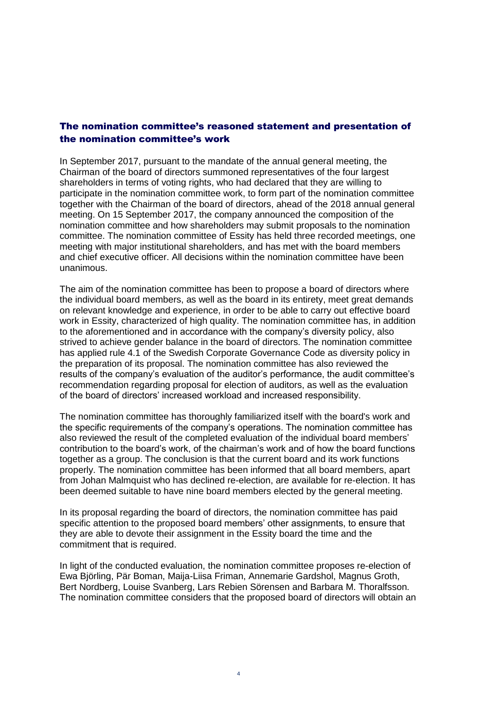# The nomination committee's reasoned statement and presentation of the nomination committee's work

In September 2017, pursuant to the mandate of the annual general meeting, the Chairman of the board of directors summoned representatives of the four largest shareholders in terms of voting rights, who had declared that they are willing to participate in the nomination committee work, to form part of the nomination committee together with the Chairman of the board of directors, ahead of the 2018 annual general meeting. On 15 September 2017, the company announced the composition of the nomination committee and how shareholders may submit proposals to the nomination committee. The nomination committee of Essity has held three recorded meetings, one meeting with major institutional shareholders, and has met with the board members and chief executive officer. All decisions within the nomination committee have been unanimous.

The aim of the nomination committee has been to propose a board of directors where the individual board members, as well as the board in its entirety, meet great demands on relevant knowledge and experience, in order to be able to carry out effective board work in Essity, characterized of high quality. The nomination committee has, in addition to the aforementioned and in accordance with the company's diversity policy, also strived to achieve gender balance in the board of directors. The nomination committee has applied rule 4.1 of the Swedish Corporate Governance Code as diversity policy in the preparation of its proposal. The nomination committee has also reviewed the results of the company's evaluation of the auditor's performance, the audit committee's recommendation regarding proposal for election of auditors, as well as the evaluation of the board of directors' increased workload and increased responsibility.

The nomination committee has thoroughly familiarized itself with the board's work and the specific requirements of the company's operations. The nomination committee has also reviewed the result of the completed evaluation of the individual board members' contribution to the board's work, of the chairman's work and of how the board functions together as a group. The conclusion is that the current board and its work functions properly. The nomination committee has been informed that all board members, apart from Johan Malmquist who has declined re-election, are available for re-election. It has been deemed suitable to have nine board members elected by the general meeting.

In its proposal regarding the board of directors, the nomination committee has paid specific attention to the proposed board members' other assignments, to ensure that they are able to devote their assignment in the Essity board the time and the commitment that is required.

In light of the conducted evaluation, the nomination committee proposes re-election of Ewa Björling, Pär Boman, Maija-Liisa Friman, Annemarie Gardshol, Magnus Groth, Bert Nordberg, Louise Svanberg, Lars Rebien Sörensen and Barbara M. Thoralfsson. The nomination committee considers that the proposed board of directors will obtain an